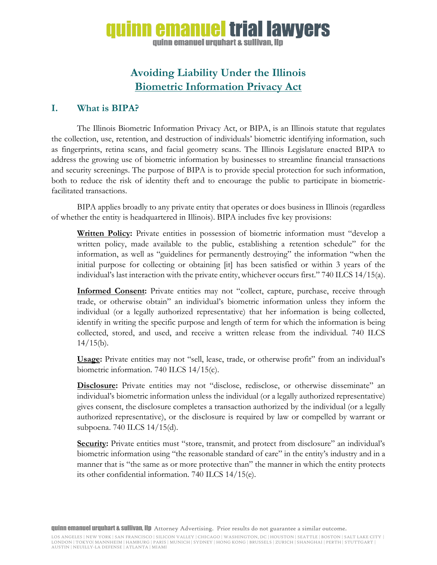# inn emanuel trial lawvers guinn emanuel urguhart & sullivan, llp

# **Avoiding Liability Under the Illinois Biometric Information Privacy Act**

## **I. What is BIPA?**

The Illinois Biometric Information Privacy Act, or BIPA, is an Illinois statute that regulates the collection, use, retention, and destruction of individuals' biometric identifying information, such as fingerprints, retina scans, and facial geometry scans. The Illinois Legislature enacted BIPA to address the growing use of biometric information by businesses to streamline financial transactions and security screenings. The purpose of BIPA is to provide special protection for such information, both to reduce the risk of identity theft and to encourage the public to participate in biometricfacilitated transactions.

BIPA applies broadly to any private entity that operates or does business in Illinois (regardless of whether the entity is headquartered in Illinois). BIPA includes five key provisions:

**Written Policy:** Private entities in possession of biometric information must "develop a written policy, made available to the public, establishing a retention schedule" for the information, as well as "guidelines for permanently destroying" the information "when the initial purpose for collecting or obtaining [it] has been satisfied or within 3 years of the individual's last interaction with the private entity, whichever occurs first." 740 ILCS 14/15(a).

**Informed Consent:** Private entities may not "collect, capture, purchase, receive through trade, or otherwise obtain" an individual's biometric information unless they inform the individual (or a legally authorized representative) that her information is being collected, identify in writing the specific purpose and length of term for which the information is being collected, stored, and used, and receive a written release from the individual. 740 ILCS  $14/15(b)$ .

**Usage:** Private entities may not "sell, lease, trade, or otherwise profit" from an individual's biometric information. 740 ILCS 14/15(c).

**Disclosure:** Private entities may not "disclose, redisclose, or otherwise disseminate" an individual's biometric information unless the individual (or a legally authorized representative) gives consent, the disclosure completes a transaction authorized by the individual (or a legally authorized representative), or the disclosure is required by law or compelled by warrant or subpoena. 740 ILCS 14/15(d).

Security: Private entities must "store, transmit, and protect from disclosure" an individual's biometric information using "the reasonable standard of care" in the entity's industry and in a manner that is "the same as or more protective than" the manner in which the entity protects its other confidential information. 740 ILCS 14/15(e).

quinn emanuel urquhart & sullivan, llp Attorney Advertising. Prior results do not guarantee a similar outcome.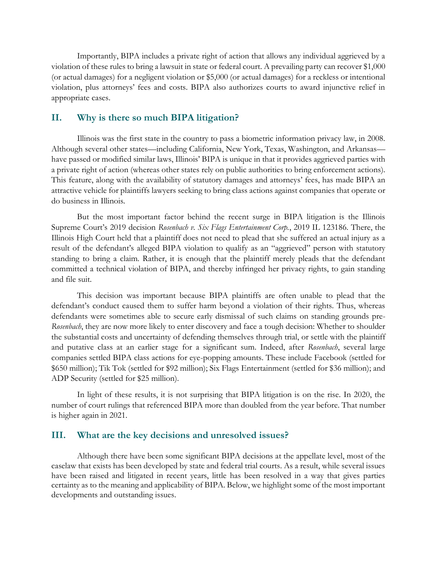Importantly, BIPA includes a private right of action that allows any individual aggrieved by a violation of these rules to bring a lawsuit in state or federal court. A prevailing party can recover \$1,000 (or actual damages) for a negligent violation or \$5,000 (or actual damages) for a reckless or intentional violation, plus attorneys' fees and costs. BIPA also authorizes courts to award injunctive relief in appropriate cases.

## **II. Why is there so much BIPA litigation?**

Illinois was the first state in the country to pass a biometric information privacy law, in 2008. Although several other states—including California, New York, Texas, Washington, and Arkansas have passed or modified similar laws, Illinois' BIPA is unique in that it provides aggrieved parties with a private right of action (whereas other states rely on public authorities to bring enforcement actions). This feature, along with the availability of statutory damages and attorneys' fees, has made BIPA an attractive vehicle for plaintiffs lawyers seeking to bring class actions against companies that operate or do business in Illinois.

But the most important factor behind the recent surge in BIPA litigation is the Illinois Supreme Court's 2019 decision *Rosenbach v. Six Flags Entertainment Corp.*, 2019 IL 123186. There, the Illinois High Court held that a plaintiff does not need to plead that she suffered an actual injury as a result of the defendant's alleged BIPA violation to qualify as an "aggrieved" person with statutory standing to bring a claim. Rather, it is enough that the plaintiff merely pleads that the defendant committed a technical violation of BIPA, and thereby infringed her privacy rights, to gain standing and file suit.

This decision was important because BIPA plaintiffs are often unable to plead that the defendant's conduct caused them to suffer harm beyond a violation of their rights. Thus, whereas defendants were sometimes able to secure early dismissal of such claims on standing grounds pre-*Rosenbach*, they are now more likely to enter discovery and face a tough decision: Whether to shoulder the substantial costs and uncertainty of defending themselves through trial, or settle with the plaintiff and putative class at an earlier stage for a significant sum. Indeed, after *Rosenbach*, several large companies settled BIPA class actions for eye-popping amounts. These include Facebook (settled for \$650 million); Tik Tok (settled for \$92 million); Six Flags Entertainment (settled for \$36 million); and ADP Security (settled for \$25 million).

In light of these results, it is not surprising that BIPA litigation is on the rise. In 2020, the number of court rulings that referenced BIPA more than doubled from the year before. That number is higher again in 2021.

### **III. What are the key decisions and unresolved issues?**

Although there have been some significant BIPA decisions at the appellate level, most of the caselaw that exists has been developed by state and federal trial courts. As a result, while several issues have been raised and litigated in recent years, little has been resolved in a way that gives parties certainty as to the meaning and applicability of BIPA. Below, we highlight some of the most important developments and outstanding issues.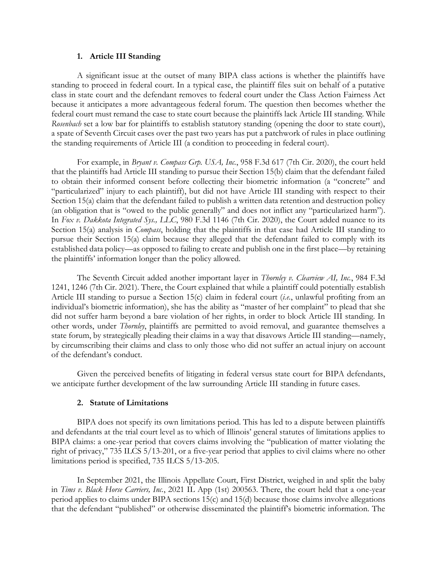#### **1. Article III Standing**

A significant issue at the outset of many BIPA class actions is whether the plaintiffs have standing to proceed in federal court. In a typical case, the plaintiff files suit on behalf of a putative class in state court and the defendant removes to federal court under the Class Action Fairness Act because it anticipates a more advantageous federal forum. The question then becomes whether the federal court must remand the case to state court because the plaintiffs lack Article III standing. While *Rosenbach* set a low bar for plaintiffs to establish statutory standing (opening the door to state court), a spate of Seventh Circuit cases over the past two years has put a patchwork of rules in place outlining the standing requirements of Article III (a condition to proceeding in federal court).

For example, in *Bryant v. Compass Grp. USA, Inc.*, 958 F.3d 617 (7th Cir. 2020), the court held that the plaintiffs had Article III standing to pursue their Section 15(b) claim that the defendant failed to obtain their informed consent before collecting their biometric information (a "concrete" and "particularized" injury to each plaintiff), but did not have Article III standing with respect to their Section 15(a) claim that the defendant failed to publish a written data retention and destruction policy (an obligation that is "owed to the public generally" and does not inflict any "particularized harm"). In *Fox v. Dakkota Integrated Sys., LLC*, 980 F.3d 1146 (7th Cir. 2020), the Court added nuance to its Section 15(a) analysis in *Compass*, holding that the plaintiffs in that case had Article III standing to pursue their Section 15(a) claim because they alleged that the defendant failed to comply with its established data policy—as opposed to failing to create and publish one in the first place—by retaining the plaintiffs' information longer than the policy allowed.

The Seventh Circuit added another important layer in *Thornley v. Clearview AI, Inc.*, 984 F.3d 1241, 1246 (7th Cir. 2021). There, the Court explained that while a plaintiff could potentially establish Article III standing to pursue a Section 15(c) claim in federal court (*i.e.*, unlawful profiting from an individual's biometric information), she has the ability as "master of her complaint" to plead that she did not suffer harm beyond a bare violation of her rights, in order to block Article III standing. In other words, under *Thornley*, plaintiffs are permitted to avoid removal, and guarantee themselves a state forum, by strategically pleading their claims in a way that disavows Article III standing—namely, by circumscribing their claims and class to only those who did not suffer an actual injury on account of the defendant's conduct.

Given the perceived benefits of litigating in federal versus state court for BIPA defendants, we anticipate further development of the law surrounding Article III standing in future cases.

### **2. Statute of Limitations**

BIPA does not specify its own limitations period. This has led to a dispute between plaintiffs and defendants at the trial court level as to which of Illinois' general statutes of limitations applies to BIPA claims: a one-year period that covers claims involving the "publication of matter violating the right of privacy," 735 ILCS 5/13-201, or a five-year period that applies to civil claims where no other limitations period is specified, 735 ILCS 5/13-205.

In September 2021, the Illinois Appellate Court, First District, weighed in and split the baby in *Tims v. Black Horse Carriers, Inc.*, 2021 IL App (1st) 200563. There, the court held that a one-year period applies to claims under BIPA sections 15(c) and 15(d) because those claims involve allegations that the defendant "published" or otherwise disseminated the plaintiff's biometric information. The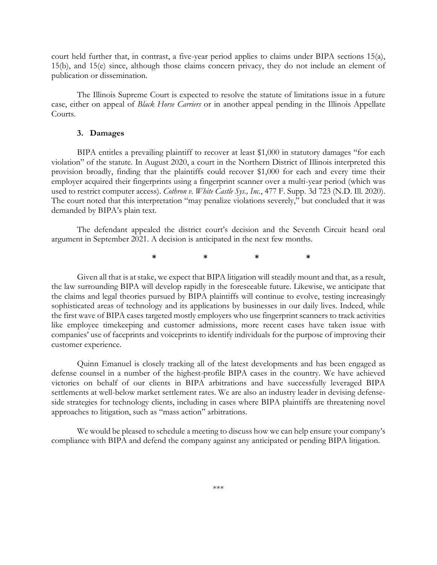court held further that, in contrast, a five-year period applies to claims under BIPA sections 15(a), 15(b), and 15(e) since, although those claims concern privacy, they do not include an element of publication or dissemination.

The Illinois Supreme Court is expected to resolve the statute of limitations issue in a future case, either on appeal of *Black Horse Carriers* or in another appeal pending in the Illinois Appellate Courts.

#### **3. Damages**

BIPA entitles a prevailing plaintiff to recover at least \$1,000 in statutory damages "for each violation" of the statute. In August 2020, a court in the Northern District of Illinois interpreted this provision broadly, finding that the plaintiffs could recover \$1,000 for each and every time their employer acquired their fingerprints using a fingerprint scanner over a multi-year period (which was used to restrict computer access). *Cothron v. White Castle Sys., Inc.*, 477 F. Supp. 3d 723 (N.D. Ill. 2020). The court noted that this interpretation "may penalize violations severely," but concluded that it was demanded by BIPA's plain text.

The defendant appealed the district court's decision and the Seventh Circuit heard oral argument in September 2021. A decision is anticipated in the next few months.

**\* \* \* \***

Given all that is at stake, we expect that BIPA litigation will steadily mount and that, as a result, the law surrounding BIPA will develop rapidly in the foreseeable future. Likewise, we anticipate that the claims and legal theories pursued by BIPA plaintiffs will continue to evolve, testing increasingly sophisticated areas of technology and its applications by businesses in our daily lives. Indeed, while the first wave of BIPA cases targeted mostly employers who use fingerprint scanners to track activities like employee timekeeping and customer admissions, more recent cases have taken issue with companies' use of faceprints and voiceprints to identify individuals for the purpose of improving their customer experience.

Quinn Emanuel is closely tracking all of the latest developments and has been engaged as defense counsel in a number of the highest-profile BIPA cases in the country. We have achieved victories on behalf of our clients in BIPA arbitrations and have successfully leveraged BIPA settlements at well-below market settlement rates. We are also an industry leader in devising defenseside strategies for technology clients, including in cases where BIPA plaintiffs are threatening novel approaches to litigation, such as "mass action" arbitrations.

We would be pleased to schedule a meeting to discuss how we can help ensure your company's compliance with BIPA and defend the company against any anticipated or pending BIPA litigation.